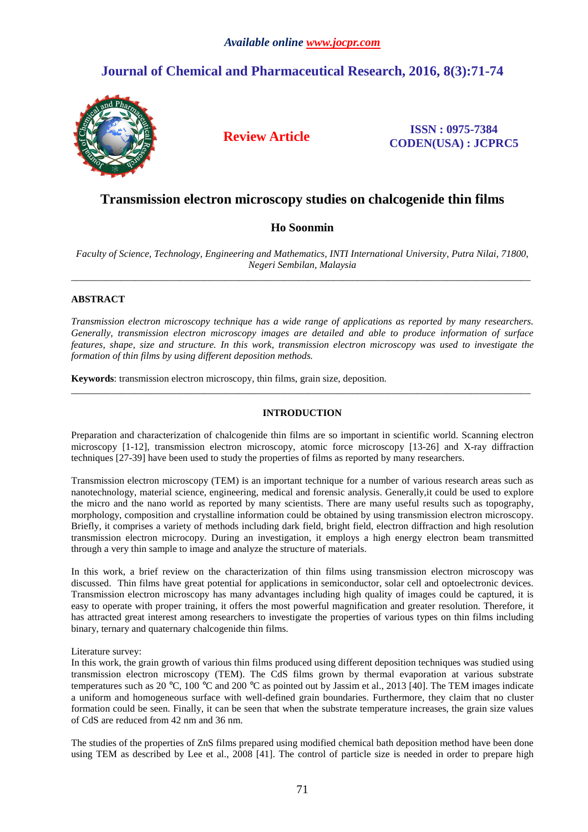### *Available online www.jocpr.com*

# **Journal of Chemical and Pharmaceutical Research, 2016, 8(3):71-74**



**Review Article ISSN : 0975-7384 CODEN(USA) : JCPRC5**

## **Transmission electron microscopy studies on chalcogenide thin films**

## **Ho Soonmin**

*Faculty of Science, Technology, Engineering and Mathematics, INTI International University, Putra Nilai, 71800, Negeri Sembilan, Malaysia*  \_\_\_\_\_\_\_\_\_\_\_\_\_\_\_\_\_\_\_\_\_\_\_\_\_\_\_\_\_\_\_\_\_\_\_\_\_\_\_\_\_\_\_\_\_\_\_\_\_\_\_\_\_\_\_\_\_\_\_\_\_\_\_\_\_\_\_\_\_\_\_\_\_\_\_\_\_\_\_\_\_\_\_\_\_\_\_\_\_\_\_\_\_

#### **ABSTRACT**

*Transmission electron microscopy technique has a wide range of applications as reported by many researchers. Generally, transmission electron microscopy images are detailed and able to produce information of surface features, shape, size and structure. In this work, transmission electron microscopy was used to investigate the formation of thin films by using different deposition methods.* 

**Keywords**: transmission electron microscopy, thin films, grain size, deposition.

#### **INTRODUCTION**

\_\_\_\_\_\_\_\_\_\_\_\_\_\_\_\_\_\_\_\_\_\_\_\_\_\_\_\_\_\_\_\_\_\_\_\_\_\_\_\_\_\_\_\_\_\_\_\_\_\_\_\_\_\_\_\_\_\_\_\_\_\_\_\_\_\_\_\_\_\_\_\_\_\_\_\_\_\_\_\_\_\_\_\_\_\_\_\_\_\_\_\_\_

Preparation and characterization of chalcogenide thin films are so important in scientific world. Scanning electron microscopy [1-12], transmission electron microscopy, atomic force microscopy [13-26] and X-ray diffraction techniques [27-39] have been used to study the properties of films as reported by many researchers.

Transmission electron microscopy (TEM) is an important technique for a number of various research areas such as nanotechnology, material science, engineering, medical and forensic analysis. Generally,it could be used to explore the micro and the nano world as reported by many scientists. There are many useful results such as topography, morphology, composition and crystalline information could be obtained by using transmission electron microscopy. Briefly, it comprises a variety of methods including dark field, bright field, electron diffraction and high resolution transmission electron microcopy. During an investigation, it employs a high energy electron beam transmitted through a very thin sample to image and analyze the structure of materials.

In this work, a brief review on the characterization of thin films using transmission electron microscopy was discussed. Thin films have great potential for applications in semiconductor, solar cell and optoelectronic devices. Transmission electron microscopy has many advantages including high quality of images could be captured, it is easy to operate with proper training, it offers the most powerful magnification and greater resolution. Therefore, it has attracted great interest among researchers to investigate the properties of various types on thin films including binary, ternary and quaternary chalcogenide thin films.

#### Literature survey:

In this work, the grain growth of various thin films produced using different deposition techniques was studied using transmission electron microscopy (TEM). The CdS films grown by thermal evaporation at various substrate temperatures such as 20 °C, 100 °C and 200 °C as pointed out by Jassim et al., 2013 [40]. The TEM images indicate a uniform and homogeneous surface with well-defined grain boundaries. Furthermore, they claim that no cluster formation could be seen. Finally, it can be seen that when the substrate temperature increases, the grain size values of CdS are reduced from 42 nm and 36 nm.

The studies of the properties of ZnS films prepared using modified chemical bath deposition method have been done using TEM as described by Lee et al., 2008 [41]. The control of particle size is needed in order to prepare high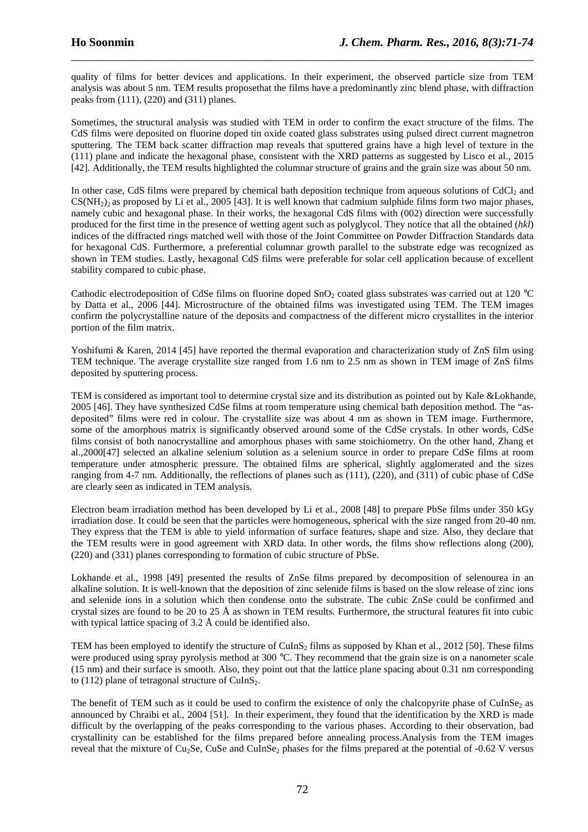quality of films for better devices and applications. In their experiment, the observed particle size from TEM analysis was about 5 nm. TEM results proposethat the films have a predominantly zinc blend phase, with diffraction peaks from (111), (220) and (311) planes.

\_\_\_\_\_\_\_\_\_\_\_\_\_\_\_\_\_\_\_\_\_\_\_\_\_\_\_\_\_\_\_\_\_\_\_\_\_\_\_\_\_\_\_\_\_\_\_\_\_\_\_\_\_\_\_\_\_\_\_\_\_\_\_\_\_\_\_\_\_\_\_\_\_\_\_\_\_\_

Sometimes, the structural analysis was studied with TEM in order to confirm the exact structure of the films. The CdS films were deposited on fluorine doped tin oxide coated glass substrates using pulsed direct current magnetron sputtering. The TEM back scatter diffraction map reveals that sputtered grains have a high level of texture in the (111) plane and indicate the hexagonal phase, consistent with the XRD patterns as suggested by Lisco et al., 2015 [42]. Additionally, the TEM results highlighted the columnar structure of grains and the grain size was about 50 nm.

In other case, CdS films were prepared by chemical bath deposition technique from aqueous solutions of CdCl<sub>2</sub> and  $CS(NH<sub>2</sub>)$  as proposed by Li et al., 2005 [43]. It is well known that cadmium sulphide films form two major phases, namely cubic and hexagonal phase. In their works, the hexagonal CdS films with (002) direction were successfully produced for the first time in the presence of wetting agent such as polyglycol. They notice that all the obtained (*hkl*) indices of the diffracted rings matched well with those of the Joint Committee on Powder Diffraction Standards data for hexagonal CdS. Furthermore, a preferential columnar growth parallel to the substrate edge was recognized as shown in TEM studies. Lastly, hexagonal CdS films were preferable for solar cell application because of excellent stability compared to cubic phase.

Cathodic electrodeposition of CdSe films on fluorine doped  $SnO<sub>2</sub>$  coated glass substrates was carried out at 120 °C by Datta et al., 2006 [44]. Microstructure of the obtained films was investigated using TEM. The TEM images confirm the polycrystalline nature of the deposits and compactness of the different micro crystallites in the interior portion of the film matrix.

Yoshifumi & Karen, 2014 [45] have reported the thermal evaporation and characterization study of ZnS film using TEM technique. The average crystallite size ranged from 1.6 nm to 2.5 nm as shown in TEM image of ZnS films deposited by sputtering process.

TEM is considered as important tool to determine crystal size and its distribution as pointed out by Kale &Lokhande, 2005 [46]. They have synthesized CdSe films at room temperature using chemical bath deposition method. The "asdeposited" films were red in colour. The crystallite size was about 4 nm as shown in TEM image. Furthermore, some of the amorphous matrix is significantly observed around some of the CdSe crystals. In other words, CdSe films consist of both nanocrystalline and amorphous phases with same stoichiometry. On the other hand, Zhang et al.,2000[47] selected an alkaline selenium solution as a selenium source in order to prepare CdSe films at room temperature under atmospheric pressure. The obtained films are spherical, slightly agglomerated and the sizes ranging from 4-7 nm. Additionally, the reflections of planes such as (111), (220), and (311) of cubic phase of CdSe are clearly seen as indicated in TEM analysis.

Electron beam irradiation method has been developed by Li et al., 2008 [48] to prepare PbSe films under 350 kGy irradiation dose. It could be seen that the particles were homogeneous, spherical with the size ranged from 20-40 nm. They express that the TEM is able to yield information of surface features, shape and size. Also, they declare that the TEM results were in good agreement with XRD data. In other words, the films show reflections along (200), (220) and (331) planes corresponding to formation of cubic structure of PbSe.

Lokhande et al., 1998 [49] presented the results of ZnSe films prepared by decomposition of selenourea in an alkaline solution. It is well-known that the deposition of zinc selenide films is based on the slow release of zinc ions and selenide ions in a solution which then condense onto the substrate. The cubic ZnSe could be confirmed and crystal sizes are found to be 20 to 25 Å as shown in TEM results. Furthermore, the structural features fit into cubic with typical lattice spacing of 3.2 Å could be identified also.

TEM has been employed to identify the structure of CuInS<sub>2</sub> films as supposed by Khan et al., 2012 [50]. These films were produced using spray pyrolysis method at 300 °C. They recommend that the grain size is on a nanometer scale (15 nm) and their surface is smooth. Also, they point out that the lattice plane spacing about 0.31 nm corresponding to (112) plane of tetragonal structure of  $CuInS<sub>2</sub>$ .

The benefit of TEM such as it could be used to confirm the existence of only the chalcopyrite phase of CuInSe<sub>2</sub> as announced by Chraibi et al., 2004 [51]. In their experiment, they found that the identification by the XRD is made difficult by the overlapping of the peaks corresponding to the various phases. According to their observation, bad crystallinity can be established for the films prepared before annealing process.Analysis from the TEM images reveal that the mixture of Cu<sub>2</sub>Se, CuSe and CuInSe<sub>2</sub> phases for the films prepared at the potential of  $-0.62$  V versus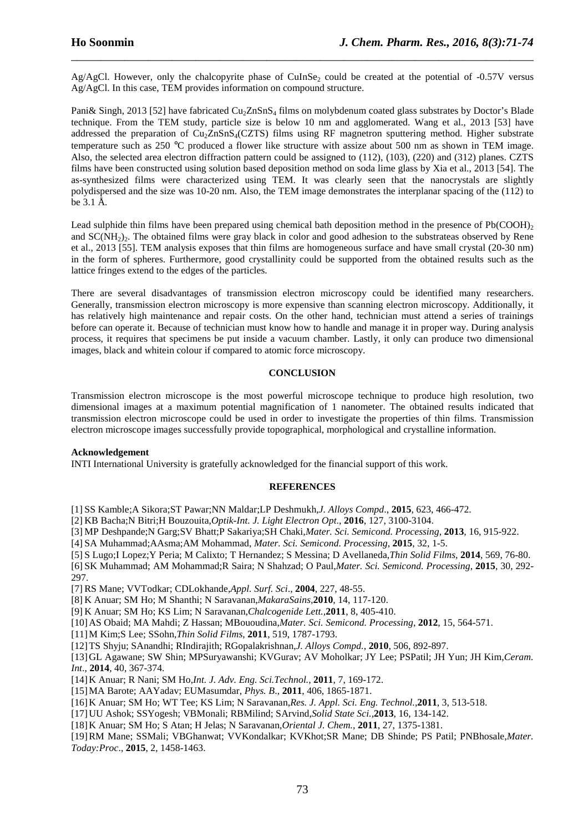Ag/AgCl. However, only the chalcopyrite phase of CuInSe<sub>2</sub> could be created at the potential of -0.57V versus Ag/AgCl. In this case, TEM provides information on compound structure.

\_\_\_\_\_\_\_\_\_\_\_\_\_\_\_\_\_\_\_\_\_\_\_\_\_\_\_\_\_\_\_\_\_\_\_\_\_\_\_\_\_\_\_\_\_\_\_\_\_\_\_\_\_\_\_\_\_\_\_\_\_\_\_\_\_\_\_\_\_\_\_\_\_\_\_\_\_\_

Pani& Singh, 2013 [52] have fabricated  $Cu<sub>2</sub>ZnSnS<sub>1</sub>$  films on molybdenum coated glass substrates by Doctor's Blade technique. From the TEM study, particle size is below 10 nm and agglomerated. Wang et al., 2013 [53] have addressed the preparation of Cu<sub>2</sub>ZnSnS<sub>4</sub>(CZTS) films using RF magnetron sputtering method. Higher substrate temperature such as 250 °C produced a flower like structure with assize about 500 nm as shown in TEM image. Also, the selected area electron diffraction pattern could be assigned to (112), (103), (220) and (312) planes. CZTS films have been constructed using solution based deposition method on soda lime glass by Xia et al., 2013 [54]. The as-synthesized films were characterized using TEM. It was clearly seen that the nanocrystals are slightly polydispersed and the size was 10-20 nm. Also, the TEM image demonstrates the interplanar spacing of the (112) to be 3.1 Å.

Lead sulphide thin films have been prepared using chemical bath deposition method in the presence of  $Pb(COOH)$ <sub>2</sub> and SC(NH<sub>2</sub>)<sub>2</sub>. The obtained films were gray black in color and good adhesion to the substrateas observed by Rene et al., 2013 [55]. TEM analysis exposes that thin films are homogeneous surface and have small crystal (20-30 nm) in the form of spheres. Furthermore, good crystallinity could be supported from the obtained results such as the lattice fringes extend to the edges of the particles.

There are several disadvantages of transmission electron microscopy could be identified many researchers. Generally, transmission electron microscopy is more expensive than scanning electron microscopy. Additionally, it has relatively high maintenance and repair costs. On the other hand, technician must attend a series of trainings before can operate it. Because of technician must know how to handle and manage it in proper way. During analysis process, it requires that specimens be put inside a vacuum chamber. Lastly, it only can produce two dimensional images, black and whitein colour if compared to atomic force microscopy.

#### **CONCLUSION**

Transmission electron microscope is the most powerful microscope technique to produce high resolution, two dimensional images at a maximum potential magnification of 1 nanometer. The obtained results indicated that transmission electron microscope could be used in order to investigate the properties of thin films. Transmission electron microscope images successfully provide topographical, morphological and crystalline information.

#### **Acknowledgement**

INTI International University is gratefully acknowledged for the financial support of this work.

#### **REFERENCES**

[1] SS Kamble;A Sikora;ST Pawar;NN Maldar;LP Deshmukh,*J. Alloys Compd*., **2015**, 623, 466-472.

[2] KB Bacha;N Bitri;H Bouzouita,*Optik-Int. J. Light Electron Opt*., **2016**, 127, 3100-3104.

[3] MP Deshpande;N Garg;SV Bhatt;P Sakariya;SH Chaki,*Mater. Sci. Semicond. Processing*, **2013**, 16, 915-922.

[4] SA Muhammad;AAsma;AM Mohammad, *Mater. Sci. Semicond. Processing*, **2015**, 32, 1-5.

[5] S Lugo;I Lopez;Y Peria; M Calixto; T Hernandez; S Messina; D Avellaneda,*Thin Solid Films*, **2014**, 569, 76-80.

[6] SK Muhammad; AM Mohammad;R Saira; N Shahzad; O Paul,*Mater. Sci. Semicond. Processing*, **2015**, 30, 292- 297.

[7] RS Mane; VVTodkar; CDLokhande,*Appl. Surf. Sci*., **2004**, 227, 48-55.

[8] K Anuar; SM Ho; M Shanthi; N Saravanan,*MakaraSains,***2010**, 14, 117-120.

[9] K Anuar; SM Ho; KS Lim; N Saravanan,*Chalcogenide Lett.,***2011**, 8, 405-410.

[10]AS Obaid; MA Mahdi; Z Hassan; MBououdina,*Mater. Sci. Semicond. Processing*, **2012**, 15, 564-571.

[11]M Kim;S Lee; SSohn,*Thin Solid Films*, **2011**, 519, 1787-1793.

[12]TS Shyju; SAnandhi; RIndirajith; RGopalakrishnan,*J. Alloys Compd.*, **2010**, 506, 892-897.

[13]GL Agawane; SW Shin; MPSuryawanshi; KVGurav; AV Moholkar; JY Lee; PSPatil; JH Yun; JH Kim,*Ceram. Int*., **2014**, 40, 367-374.

[14]K Anuar; R Nani; SM Ho,*Int. J. Adv. Eng. Sci.Technol.*, **2011**, 7, 169-172.

[15]MA Barote; AAYadav; EUMasumdar, *Phys. B*., **2011**, 406, 1865-1871.

[16]K Anuar; SM Ho; WT Tee; KS Lim; N Saravanan,*Res. J. Appl. Sci. Eng. Technol.,***2011**, 3, 513-518.

[17]UU Ashok; SSYogesh; VBMonali; RBMilind; SArvind,*Solid State Sci.,***2013**, 16, 134-142.

[18]K Anuar; SM Ho; S Atan; H Jelas; N Saravanan,*Oriental J. Chem.,* **2011**, 27, 1375-1381.

[19]RM Mane; SSMali; VBGhanwat; VVKondalkar; KVKhot;SR Mane; DB Shinde; PS Patil; PNBhosale,*Mater. Today:Proc*., **2015**, 2, 1458-1463.